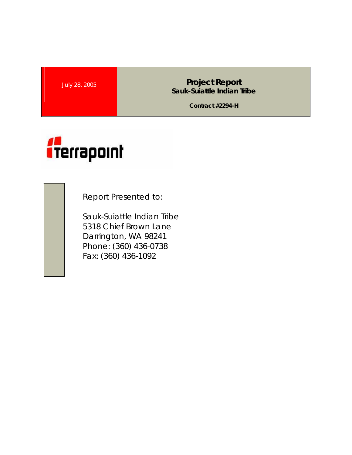July 28, 2005 **Project Report Sauk-Suiattle Indian Tribe** 

**Contract #2294-H** 



Report Presented to:

Sauk-Suiattle Indian Tribe 5318 Chief Brown Lane Darrington, WA 98241 Phone: (360) 436-0738 Fax: (360) 436-1092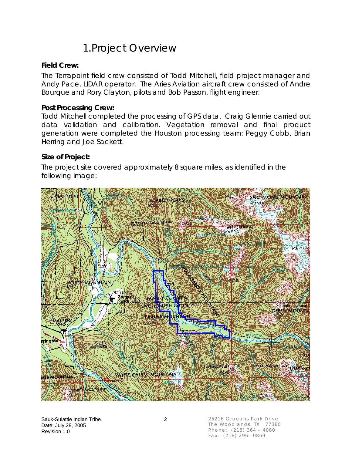## 1.Project Overview

#### **Field Crew:**

The Terrapoint field crew consisted of Todd Mitchell, field project manager and Andy Pace, LIDAR operator. The Aries Aviation aircraft crew consisted of Andre Bourque and Rory Clayton, pilots and Bob Passon, flight engineer.

#### **Post Processing Crew:**

Todd Mitchell completed the processing of GPS data. Craig Glennie carried out data validation and calibration. Vegetation removal and final product generation were completed the Houston processing team: Peggy Cobb, Brian Herring and Joe Sackett.

#### **Size of Project:**

The project site covered approximately 8 square miles, as identified in the following image:

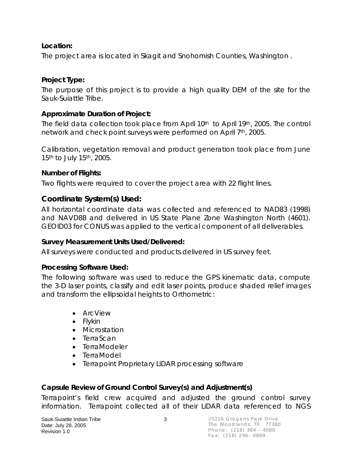### **Location:**

The project area is located in Skagit and Snohomish Counties, Washington .

### **Project Type:**

The purpose of this project is to provide a high quality DEM of the site for the Sauk-Suiattle Tribe.

### **Approximate Duration of Project:**

The field data collection took place from April 10<sup>th</sup> to April 19<sup>th</sup>, 2005. The control network and check point surveys were performed on April 7th, 2005.

Calibration, vegetation removal and product generation took place from June 15<sup>th</sup> to July 15<sup>th</sup>, 2005.

### **Number of Flights:**

Two flights were required to cover the project area with 22 flight lines.

### **Coordinate System(s) Used:**

All horizontal coordinate data was collected and referenced to NAD83 (1998) and NAVD88 and delivered in US State Plane Zone Washington North (4601). GEOID03 for CONUS was applied to the vertical component of all deliverables.

### **Survey Measurement Units Used/Delivered:**

All surveys were conducted and products delivered in US survey feet.

### **Processing Software Used:**

The following software was used to reduce the GPS kinematic data, compute the 3-D laser points, classify and edit laser points, produce shaded relief images and transform the ellipsoidal heights to Orthometric:

- ArcView
- Flykin
- Microstation
- TerraScan
- TerraModeler
- TerraModel
- Terrapoint Proprietary LiDAR processing software

### **Capsule Review of Ground Control Survey(s) and Adjustment(s)**

Terrapoint's field crew acquired and adjusted the ground control survey information. Terrapoint collected all of their LiDAR data referenced to NGS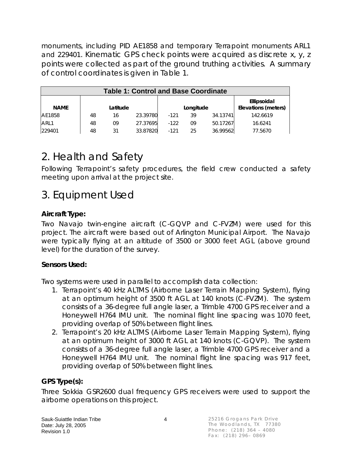monuments, including PID AE1858 and temporary Terrapoint monuments ARL1 and 229401. Kinematic GPS check points were acquired as discrete x, y, z points were collected as part of the ground truthing activities. A summary of control coordinates is given in Table 1.

| <b>Table 1: Control and Base Coordinate</b> |          |    |          |           |    |          |                                           |  |
|---------------------------------------------|----------|----|----------|-----------|----|----------|-------------------------------------------|--|
| <b>NAME</b>                                 | Latitude |    |          | Longitude |    |          | Ellipsoidal<br><b>Elevations (meters)</b> |  |
| AE1858                                      | 48       | 16 | 23.39780 | $-121$    | 39 | 34.13741 | 142.6619                                  |  |
| ARL1                                        | 48       | 09 | 27.37695 | $-122$    | 09 | 50.17267 | 16.6241                                   |  |
| 229401                                      | 48       | 31 | 33.87820 | $-121$    | 25 | 36.99562 | 77.5670                                   |  |

# 2. Health and Safety

Following Terrapoint's safety procedures, the field crew conducted a safety meeting upon arrival at the project site.

## 3. Equipment Used

### **Aircraft Type:**

Two Navajo twin-engine aircraft (C-GQVP and C-FVZM) were used for this project. The aircraft were based out of Arlington Municipal Airport. The Navajo were typically flying at an altitude of 3500 or 3000 feet AGL (above ground level) for the duration of the survey.

### **Sensors Used:**

Two systems were used in parallel to accomplish data collection:

- 1. Terrapoint's 40 kHz ALTMS (Airborne Laser Terrain Mapping System), flying at an optimum height of 3500 ft AGL at 140 knots (C-FVZM). The system consists of a 36-degree full angle laser, a Trimble 4700 GPS receiver and a Honeywell H764 IMU unit. The nominal flight line spacing was 1070 feet, providing overlap of 50% between flight lines.
- 2. Terrapoint's 20 kHz ALTMS (Airborne Laser Terrain Mapping System), flying at an optimum height of 3000 ft AGL at 140 knots (C-GQVP). The system consists of a 36-degree full angle laser, a Trimble 4700 GPS receiver and a Honeywell H764 IMU unit. The nominal flight line spacing was 917 feet, providing overlap of 50% between flight lines.

### **GPS Type(s):**

Three Sokkia GSR2600 dual frequency GPS receivers were used to support the airborne operations on this project.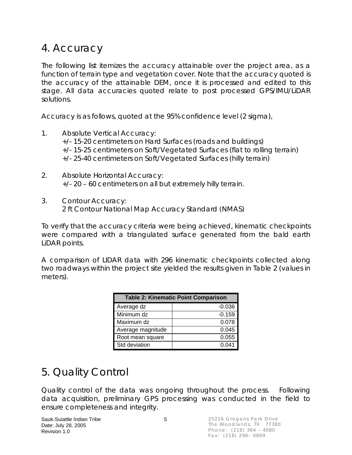## 4. Accuracy

The following list itemizes the accuracy attainable over the project area, as a function of terrain type and vegetation cover. Note that the accuracy quoted is the accuracy of the attainable DEM, once it is processed and edited to this stage. All data accuracies quoted relate to post processed GPS/IMU/LiDAR solutions.

Accuracy is as follows, quoted at the 95% confidence level (2 sigma),

- 1. Absolute Vertical Accuracy: +/- 15-20 centimeters on Hard Surfaces (roads and buildings) +/- 15-25 centimeters on Soft/Vegetated Surfaces (flat to rolling terrain) +/- 25-40 centimeters on Soft/Vegetated Surfaces (hilly terrain)
- 2. Absolute Horizontal Accuracy: +/- 20 – 60 centimeters on all but extremely hilly terrain.
- 3. Contour Accuracy: 2 ft Contour National Map Accuracy Standard (NMAS)

To verify that the accuracy criteria were being achieved, kinematic checkpoints were compared with a triangulated surface generated from the bald earth LiDAR points.

A comparison of LIDAR data with 296 kinematic checkpoints collected along two roadways within the project site yielded the results given in Table 2 (values in meters).

| <b>Table 2: Kinematic Point Comparison</b> |          |  |  |  |  |
|--------------------------------------------|----------|--|--|--|--|
| Average dz                                 | $-0.036$ |  |  |  |  |
| Minimum dz                                 | $-0.159$ |  |  |  |  |
| Maximum dz                                 | 0.078    |  |  |  |  |
| Average magnitude                          | 0.045    |  |  |  |  |
| Root mean square                           | 0.055    |  |  |  |  |
| Std deviation                              | 0.041    |  |  |  |  |

# 5. Quality Control

Quality control of the data was ongoing throughout the process. Following data acquisition, preliminary GPS processing was conducted in the field to ensure completeness and integrity.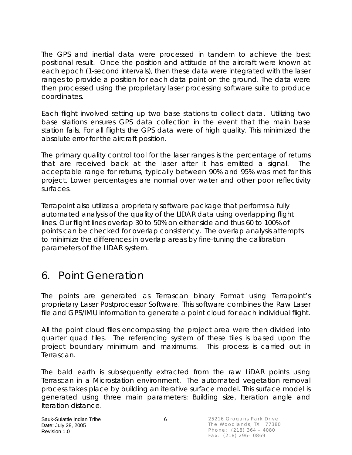The GPS and inertial data were processed in tandem to achieve the best positional result. Once the position and attitude of the aircraft were known at each epoch (1-second intervals), then these data were integrated with the laser ranges to provide a position for each data point on the ground. The data were then processed using the proprietary laser processing software suite to produce coordinates.

Each flight involved setting up two base stations to collect data. Utilizing two base stations ensures GPS data collection in the event that the main base station fails. For all flights the GPS data were of high quality. This minimized the absolute error for the aircraft position.

The primary quality control tool for the laser ranges is the percentage of returns that are received back at the laser after it has emitted a signal. The acceptable range for returns, typically between 90% and 95% was met for this project. Lower percentages are normal over water and other poor reflectivity surfaces.

Terrapoint also utilizes a proprietary software package that performs a fully automated analysis of the quality of the LIDAR data using overlapping flight lines. Our flight lines overlap 30 to 50% on either side and thus 60 to 100% of points can be checked for overlap consistency. The overlap analysis attempts to minimize the differences in overlap areas by fine-tuning the calibration parameters of the LIDAR system.

## 6. Point Generation

The points are generated as Terrascan binary Format using Terrapoint's proprietary Laser Postprocessor Software. This software combines the Raw Laser file and GPS/IMU information to generate a point cloud for each individual flight.

All the point cloud files encompassing the project area were then divided into quarter quad tiles. The referencing system of these tiles is based upon the project boundary minimum and maximums. This process is carried out in Terrascan.

The bald earth is subsequently extracted from the raw LiDAR points using Terrascan in a Microstation environment. The automated vegetation removal process takes place by building an iterative surface model. This surface model is generated using three main parameters: Building size, Iteration angle and Iteration distance.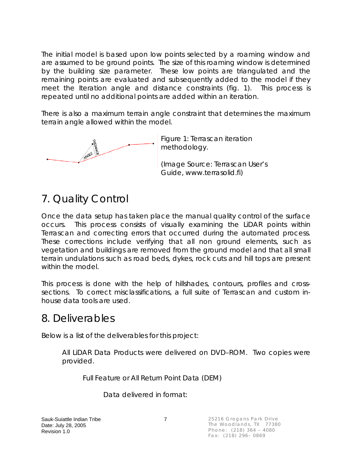The initial model is based upon low points selected by a roaming window and are assumed to be ground points. The size of this roaming window is determined by the building size parameter. These low points are triangulated and the remaining points are evaluated and subsequently added to the model if they meet the Iteration angle and distance constraints (fig. 1). This process is repeated until no additional points are added within an iteration.

There is also a maximum terrain angle constraint that determines the maximum terrain angle allowed within the model.



Figure 1: Terrascan iteration methodology.

(Image Source: Terrascan User's Guide, www.terrasolid.fi)

# 7. Quality Control

Once the data setup has taken place the manual quality control of the surface occurs. This process consists of visually examining the LiDAR points within Terrascan and correcting errors that occurred during the automated process. These corrections include verifying that all non ground elements, such as vegetation and buildings are removed from the ground model and that all small terrain undulations such as road beds, dykes, rock cuts and hill tops are present within the model.

This process is done with the help of hillshades, contours, profiles and crosssections. To correct misclassifications, a full suite of Terrascan and custom inhouse data tools are used.

## 8. Deliverables

Below is a list of the deliverables for this project:

All LiDAR Data Products were delivered on DVD–ROM. Two copies were provided.

Full Feature or All Return Point Data (DEM)

Data delivered in format: